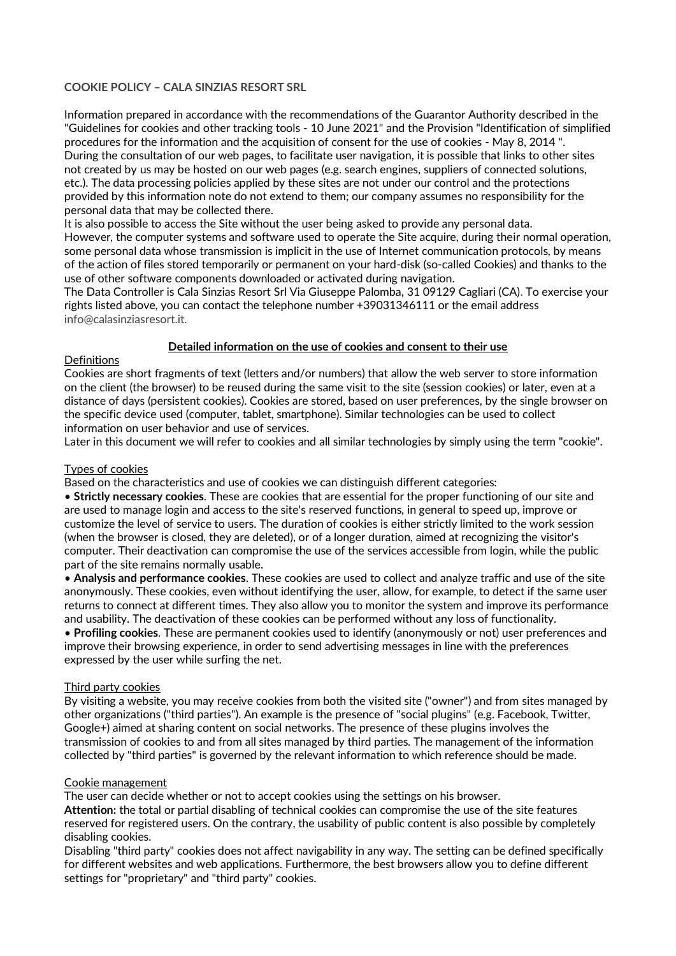# **COOKIE POLICY – CALA SINZIAS RESORT SRL**

Information prepared in accordance with the recommendations of the Guarantor Authority described in the "Guidelines for cookies and other tracking tools - 10 June 2021" and the Provision "Identification of simplified procedures for the information and the acquisition of consent for the use of cookies - May 8, 2014 ". During the consultation of our web pages, to facilitate user navigation, it is possible that links to other sites not created by us may be hosted on our web pages (e.g. search engines, suppliers of connected solutions, etc.). The data processing policies applied by these sites are not under our control and the protections provided by this information note do not extend to them; our company assumes no responsibility for the personal data that may be collected there.

It is also possible to access the Site without the user being asked to provide any personal data. However, the computer systems and software used to operate the Site acquire, during their normal operation, some personal data whose transmission is implicit in the use of Internet communication protocols, by means of the action of files stored temporarily or permanent on your hard-disk (so-called Cookies) and thanks to the use of other software components downloaded or activated during navigation.

The Data Controller is Cala Sinzias Resort Srl Via Giuseppe Palomba, 31 09129 Cagliari (CA). To exercise your rights listed above, you can contact the telephone number +39031346111 or the email address info@calasinziasresort.it.

## **Detailed information on the use of cookies and consent to their use**

## Definitions

Cookies are short fragments of text (letters and/or numbers) that allow the web server to store information on the client (the browser) to be reused during the same visit to the site (session cookies) or later, even at a distance of days (persistent cookies). Cookies are stored, based on user preferences, by the single browser on the specific device used (computer, tablet, smartphone). Similar technologies can be used to collect information on user behavior and use of services.

Later in this document we will refer to cookies and all similar technologies by simply using the term "cookie".

### Types of cookies

Based on the characteristics and use of cookies we can distinguish different categories:

• **Strictly necessary cookies**. These are cookies that are essential for the proper functioning of our site and are used to manage login and access to the site's reserved functions, in general to speed up, improve or customize the level of service to users. The duration of cookies is either strictly limited to the work session (when the browser is closed, they are deleted), or of a longer duration, aimed at recognizing the visitor's computer. Their deactivation can compromise the use of the services accessible from login, while the public part of the site remains normally usable.

• **Analysis and performance cookies**. These cookies are used to collect and analyze traffic and use of the site anonymously. These cookies, even without identifying the user, allow, for example, to detect if the same user returns to connect at different times. They also allow you to monitor the system and improve its performance and usability. The deactivation of these cookies can be performed without any loss of functionality.

• **Profiling cookies**. These are permanent cookies used to identify (anonymously or not) user preferences and improve their browsing experience, in order to send advertising messages in line with the preferences expressed by the user while surfing the net.

#### Third party cookies

By visiting a website, you may receive cookies from both the visited site ("owner") and from sites managed by other organizations ("third parties"). An example is the presence of "social plugins" (e.g. Facebook, Twitter, Google+) aimed at sharing content on social networks. The presence of these plugins involves the transmission of cookies to and from all sites managed by third parties. The management of the information collected by "third parties" is governed by the relevant information to which reference should be made.

#### Cookie management

The user can decide whether or not to accept cookies using the settings on his browser.

**Attention:** the total or partial disabling of technical cookies can compromise the use of the site features reserved for registered users. On the contrary, the usability of public content is also possible by completely disabling cookies.

Disabling "third party" cookies does not affect navigability in any way. The setting can be defined specifically for different websites and web applications. Furthermore, the best browsers allow you to define different settings for "proprietary" and "third party" cookies.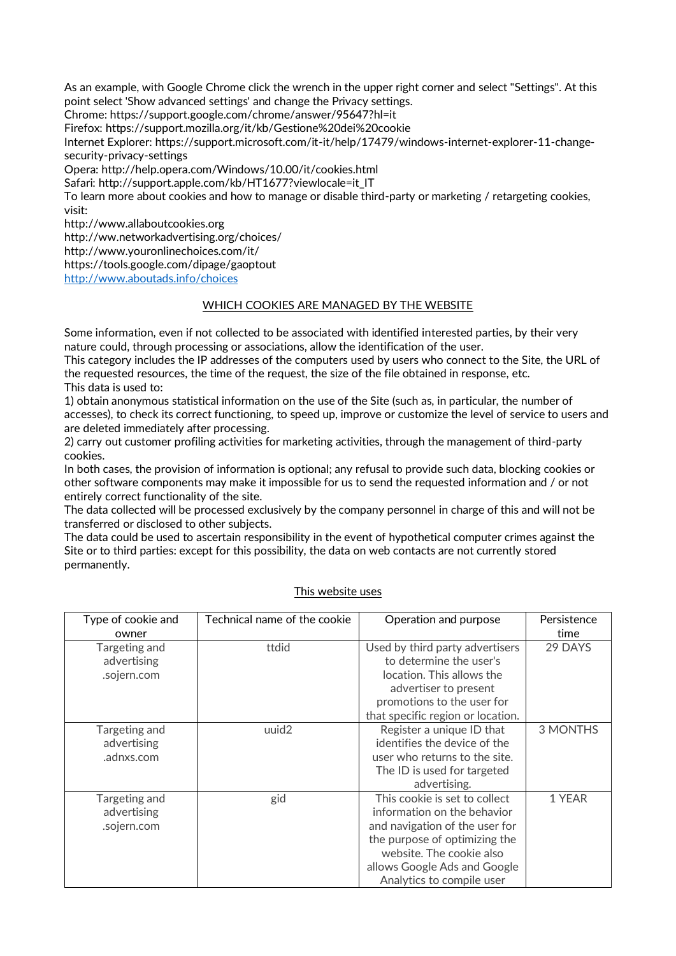As an example, with Google Chrome click the wrench in the upper right corner and select "Settings". At this point select 'Show advanced settings' and change the Privacy settings. Chrome: https://support.google.com/chrome/answer/95647?hl=it Firefox: https://support.mozilla.org/it/kb/Gestione%20dei%20cookie Internet Explorer: https://support.microsoft.com/it-it/help/17479/windows-internet-explorer-11-changesecurity-privacy-settings Opera: http://help.opera.com/Windows/10.00/it/cookies.html Safari: http://support.apple.com/kb/HT1677?viewlocale=it\_IT To learn more about cookies and how to manage or disable third-party or marketing / retargeting cookies, visit: http://www.allaboutcookies.org http://ww.networkadvertising.org/choices/ http://www.youronlinechoices.com/it/ https://tools.google.com/dipage/gaoptout

<http://www.aboutads.info/choices>

# WHICH COOKIES ARE MANAGED BY THE WEBSITE

Some information, even if not collected to be associated with identified interested parties, by their very nature could, through processing or associations, allow the identification of the user.

This category includes the IP addresses of the computers used by users who connect to the Site, the URL of the requested resources, the time of the request, the size of the file obtained in response, etc. This data is used to:

1) obtain anonymous statistical information on the use of the Site (such as, in particular, the number of accesses), to check its correct functioning, to speed up, improve or customize the level of service to users and are deleted immediately after processing.

2) carry out customer profiling activities for marketing activities, through the management of third-party cookies.

In both cases, the provision of information is optional; any refusal to provide such data, blocking cookies or other software components may make it impossible for us to send the requested information and / or not entirely correct functionality of the site.

The data collected will be processed exclusively by the company personnel in charge of this and will not be transferred or disclosed to other subjects.

The data could be used to ascertain responsibility in the event of hypothetical computer crimes against the Site or to third parties: except for this possibility, the data on web contacts are not currently stored permanently.

| Type of cookie and<br>owner                 | Technical name of the cookie | Operation and purpose                                                                                                                                                                                                    | Persistence<br>time |
|---------------------------------------------|------------------------------|--------------------------------------------------------------------------------------------------------------------------------------------------------------------------------------------------------------------------|---------------------|
| Targeting and<br>advertising<br>.sojern.com | ttdid                        | Used by third party advertisers<br>to determine the user's<br>location. This allows the<br>advertiser to present<br>promotions to the user for<br>that specific region or location.                                      | 29 DAYS             |
| Targeting and<br>advertising<br>.adnxs.com  | uuid2                        | Register a unique ID that<br>identifies the device of the<br>user who returns to the site.<br>The ID is used for targeted<br>advertising.                                                                                | 3 MONTHS            |
| Targeting and<br>advertising<br>.sojern.com | gid                          | This cookie is set to collect<br>information on the behavior<br>and navigation of the user for<br>the purpose of optimizing the<br>website. The cookie also<br>allows Google Ads and Google<br>Analytics to compile user | 1 YEAR              |

#### This website uses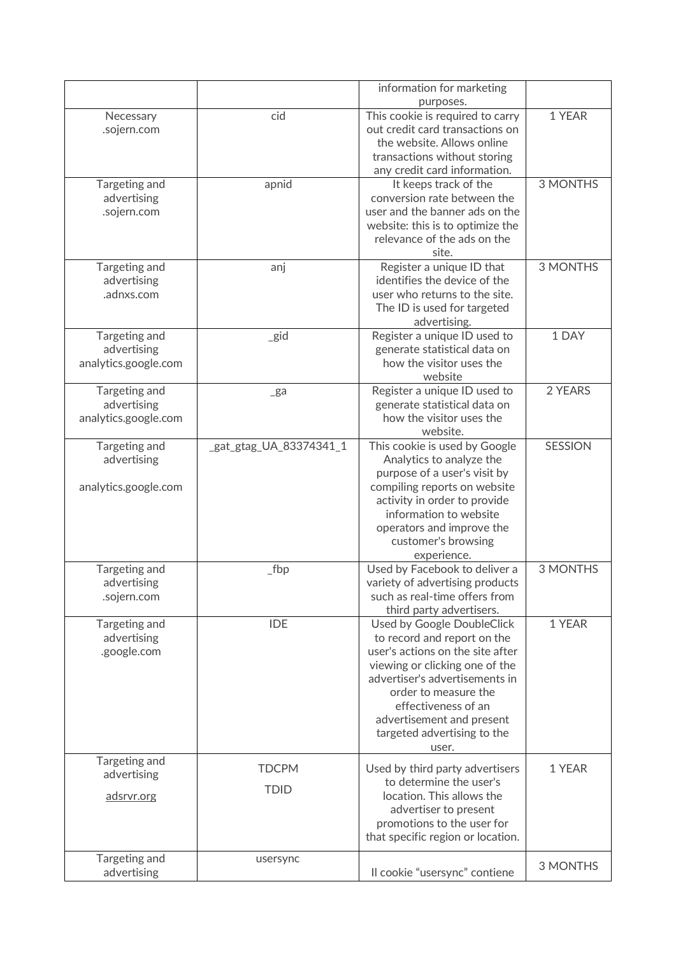|                              |                         | information for marketing                                 |                 |
|------------------------------|-------------------------|-----------------------------------------------------------|-----------------|
|                              |                         | purposes.                                                 |                 |
| Necessary                    | cid                     | This cookie is required to carry                          | 1 YEAR          |
| .sojern.com                  |                         | out credit card transactions on                           |                 |
|                              |                         | the website. Allows online                                |                 |
|                              |                         | transactions without storing                              |                 |
|                              |                         | any credit card information.                              |                 |
| Targeting and                | apnid                   | It keeps track of the                                     | <b>3 MONTHS</b> |
| advertising                  |                         | conversion rate between the                               |                 |
| .sojern.com                  |                         | user and the banner ads on the                            |                 |
|                              |                         | website: this is to optimize the                          |                 |
|                              |                         | relevance of the ads on the<br>site.                      |                 |
|                              |                         |                                                           | <b>3 MONTHS</b> |
| Targeting and<br>advertising | anj                     | Register a unique ID that<br>identifies the device of the |                 |
| .adnxs.com                   |                         | user who returns to the site.                             |                 |
|                              |                         | The ID is used for targeted                               |                 |
|                              |                         | advertising.                                              |                 |
| Targeting and                | _gid                    | Register a unique ID used to                              | 1 DAY           |
| advertising                  |                         | generate statistical data on                              |                 |
| analytics.google.com         |                         | how the visitor uses the                                  |                 |
|                              |                         | website                                                   |                 |
| Targeting and                | $\mathsf{g}$ a          | Register a unique ID used to                              | 2 YEARS         |
| advertising                  |                         | generate statistical data on                              |                 |
| analytics.google.com         |                         | how the visitor uses the                                  |                 |
|                              |                         | website.                                                  |                 |
| Targeting and                | _gat_gtag_UA_83374341_1 | This cookie is used by Google                             | <b>SESSION</b>  |
| advertising                  |                         | Analytics to analyze the                                  |                 |
|                              |                         | purpose of a user's visit by                              |                 |
| analytics.google.com         |                         | compiling reports on website                              |                 |
|                              |                         | activity in order to provide                              |                 |
|                              |                         | information to website                                    |                 |
|                              |                         | operators and improve the                                 |                 |
|                              |                         | customer's browsing                                       |                 |
|                              |                         | experience.                                               |                 |
| Targeting and                | $_{\mathsf{\_}}$ fbp    | Used by Facebook to deliver a                             | 3 MONTHS        |
| advertising                  |                         | variety of advertising products                           |                 |
| .sojern.com                  |                         | such as real-time offers from                             |                 |
|                              |                         | third party advertisers.                                  |                 |
| Targeting and                | <b>IDE</b>              | Used by Google DoubleClick                                | 1 YEAR          |
| advertising                  |                         | to record and report on the                               |                 |
| .google.com                  |                         | user's actions on the site after                          |                 |
|                              |                         | viewing or clicking one of the                            |                 |
|                              |                         | advertiser's advertisements in                            |                 |
|                              |                         | order to measure the                                      |                 |
|                              |                         | effectiveness of an                                       |                 |
|                              |                         | advertisement and present                                 |                 |
|                              |                         | targeted advertising to the                               |                 |
|                              |                         | user.                                                     |                 |
| Targeting and                | <b>TDCPM</b>            | Used by third party advertisers                           | 1 YEAR          |
| advertising                  |                         | to determine the user's                                   |                 |
| adsrvr.org                   | <b>TDID</b>             | location. This allows the                                 |                 |
|                              |                         | advertiser to present                                     |                 |
|                              |                         | promotions to the user for                                |                 |
|                              |                         | that specific region or location.                         |                 |
|                              |                         |                                                           |                 |
| Targeting and<br>advertising | usersync                | Il cookie "usersync" contiene                             | <b>3 MONTHS</b> |
|                              |                         |                                                           |                 |